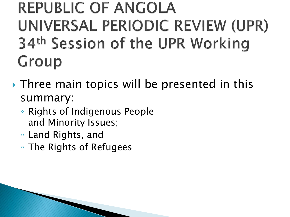#### **REPUBLIC OF ANGOLA** UNIVERSAL PERIODIC REVIEW (UPR) 34th Session of the UPR Working Group

- Three main topics will be presented in this summary:
	- Rights of Indigenous People and Minority Issues;
	- Land Rights, and
	- The Rights of Refugees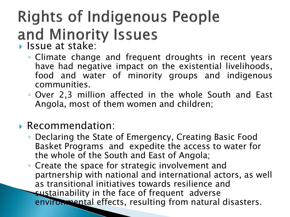## **Rights of Indigenous People** and Minority Issues

- - Climate change and frequent droughts in recent years have had negative impact on the existential livelihoods, food and water of minority groups and indigenous communities.
	- Over 2,3 million affected in the whole South and East Angola, most of them women and children;

#### Recommendation:

- Declaring the State of Emergency, Creating Basic Food Basket Programs and expedite the access to water for the whole of the South and East of Angola;
- Create the space for strategic involvement and partnership with national and international actors, as well as transitional initiatives towards resilience and sustainability in the face of frequent adverse environmental effects, resulting from natural disasters.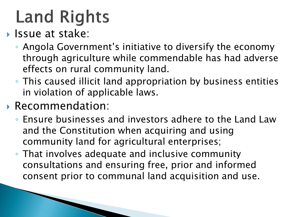- **Issue at stake:** 
	- Angola Government's initiative to diversify the economy through agriculture while commendable has had adverse effects on rural community land.
	- This caused illicit land appropriation by business entities in violation of applicable laws.
- Recommendation:
	- Ensure businesses and investors adhere to the Land Law and the Constitution when acquiring and using community land for agricultural enterprises;
	- That involves adequate and inclusive community consultations and ensuring free, prior and informed consent prior to communal land acquisition and use.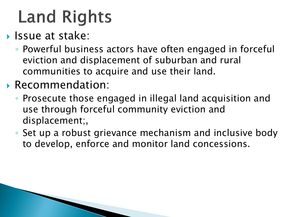- **Issue at stake:** 
	- Powerful business actors have often engaged in forceful eviction and displacement of suburban and rural communities to acquire and use their land.
- Recommendation:
	- Prosecute those engaged in illegal land acquisition and use through forceful community eviction and displacement;,
	- Set up a robust grievance mechanism and inclusive body to develop, enforce and monitor land concessions.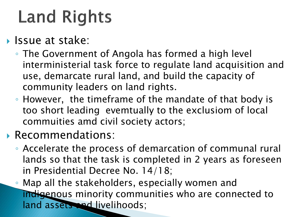- **Issue at stake:** 
	- The Government of Angola has formed a high level interministerial task force to regulate land acquisition and use, demarcate rural land, and build the capacity of community leaders on land rights.
	- However, the timeframe of the mandate of that body is too short leading evemtually to the exclusiom of local commuities amd civil society actors;
- Recommendations:
	- Accelerate the process of demarcation of communal rural lands so that the task is completed in 2 years as foreseen in Presidential Decree No. 14/18;
	- Map all the stakeholders, especially women and indigenous minority communities who are connected to land assets and livelihoods;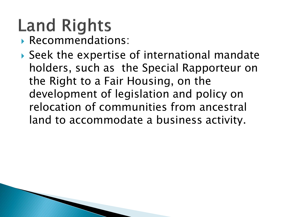- Recommendations:
- Seek the expertise of international mandate holders, such as the Special Rapporteur on the Right to a Fair Housing, on the development of legislation and policy on relocation of communities from ancestral land to accommodate a business activity.